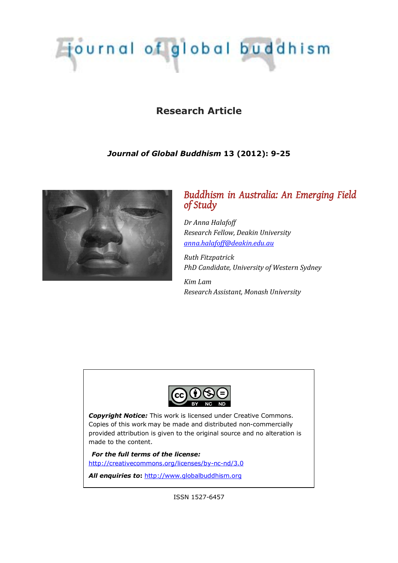# Tournal of global buddhism

# **Research Article**

# *Journal of Global Buddhism* **13 (2012): 9-25**



# *Buddhism in Australia: An Emerging Field of Study*

*Dr Anna Halafoff Research Fellow, Deakin University [anna.halafoff@deakin.edu.au](mailto:anna.halafoff@deakin.edu.au)*

*Ruth Fitzpatrick PhD Candidate, University of Western Sydney*

*Kim Lam Research Assistant, Monash University*



*Copyright Notice:* This work is licensed under Creative Commons. Copies of this work may be made and distributed non-commercially provided attribution is given to the original source and no alteration is made to the content.

*For the full terms of the license:* <http://creativecommons.org/licenses/by-nc-nd/3.0>

All enquiries to: [http://www.globalbuddhism.org](http://www.globalbuddhism.org/)

ISSN 1527-6457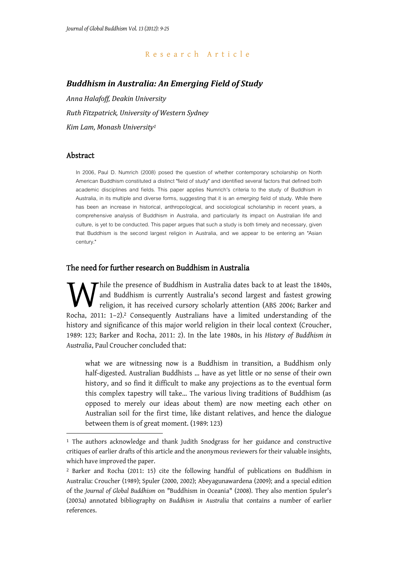## Research Article

## *Buddhism in Australia: An Emerging Field of Study*

*Anna Halafoff, Deakin University Ruth Fitzpatrick, University of Western Sydney Kim Lam, Monash University1* 

#### Abstract

-

In 2006, Paul D. Numrich (2008) posed the question of whether contemporary scholarship on North American Buddhism constituted a distinct "field of study" and identified several factors that defined both academic disciplines and fields. This paper applies Numrich's criteria to the study of Buddhism in Australia, in its multiple and diverse forms, suggesting that it is an *emerging* field of study. While there has been an increase in historical, anthropological, and sociological scholarship in recent years, a comprehensive analysis of Buddhism in Australia, and particularly its impact on Australian life and culture, is yet to be conducted. This paper argues that such a study is both timely and necessary, given that Buddhism is the second largest religion in Australia, and we appear to be entering an "Asian century."

#### The need for further research on Buddhism in Australia

hile the presence of Buddhism in Australia dates back to at least the 1840s, and Buddhism is currently Australia's second largest and fastest growing religion, it has received cursory scholarly attention (ABS 2006; Barker and While the presence of Buddhism in Australia dates back to at least the 1840s, and Buddhism is currently Australia's second largest and fastest growing religion, it has received cursory scholarly attention (ABS 2006; Barker history and significance of this major world religion in their local context (Croucher, 1989: 123; Barker and Rocha, 2011: 2). In the late 1980s, in his *History of Buddhism in Australia*, Paul Croucher concluded that:

what we are witnessing now is a Buddhism in transition, a Buddhism only half-digested. Australian Buddhists … have as yet little or no sense of their own history, and so find it difficult to make any projections as to the eventual form this complex tapestry will take… The various living traditions of Buddhism (as opposed to merely our ideas about them) are now meeting each other on Australian soil for the first time, like distant relatives, and hence the dialogue between them is of great moment. (1989: 123)

<sup>&</sup>lt;sup>1</sup> The authors acknowledge and thank Judith Snodgrass for her guidance and constructive critiques of earlier drafts of this article and the anonymous reviewers for their valuable insights, which have improved the paper.

<sup>2</sup> Barker and Rocha (2011: 15) cite the following handful of publications on Buddhism in Australia: Croucher (1989); Spuler (2000, 2002); Abeyagunawardena (2009); and a special edition of the *Journal of Global Buddhism* on "Buddhism in Oceania" (2008). They also mention Spuler's (2003a) annotated bibliography on *Buddhism in Australia* that contains a number of earlier references.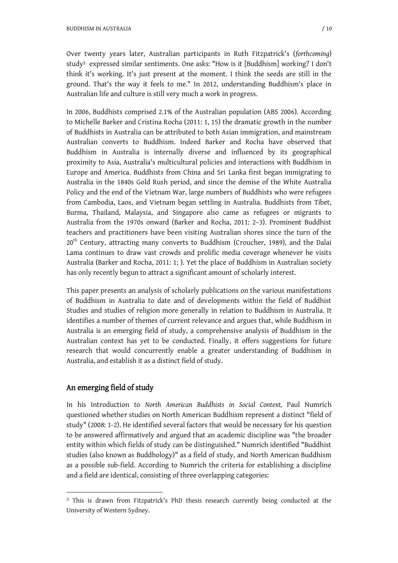Over twenty years later, Australian participants in Ruth Fitzpatrick's (*forthcoming*) study3 expressed similar sentiments. One asks: "How is it [Buddhism] working? I don't think it's working. It's just present at the moment. I think the seeds are still in the ground. That's the way it feels to me." In 2012, understanding Buddhism's place in Australian life and culture is still very much a work in progress.

In 2006, Buddhists comprised 2.1% of the Australian population (ABS 2006). According to Michelle Barker and Cristina Rocha (2011: 1, 15) the dramatic growth in the number of Buddhists in Australia can be attributed to both Asian immigration, and mainstream Australian converts to Buddhism. Indeed Barker and Rocha have observed that Buddhism in Australia is internally diverse and influenced by its geographical proximity to Asia, Australia's multicultural policies and interactions with Buddhism in Europe and America. Buddhists from China and Sri Lanka first began immigrating to Australia in the 1840s Gold Rush period, and since the demise of the White Australia Policy and the end of the Vietnam War, large numbers of Buddhists who were refugees from Cambodia, Laos, and Vietnam began settling in Australia. Buddhists from Tibet, Burma, Thailand, Malaysia, and Singapore also came as refugees or migrants to Australia from the 1970s onward (Barker and Rocha, 2011: 2–3). Prominent Buddhist teachers and practitioners have been visiting Australian shores since the turn of the  $20<sup>th</sup>$  Century, attracting many converts to Buddhism (Croucher, 1989), and the Dalai Lama continues to draw vast crowds and prolific media coverage whenever he visits Australia (Barker and Rocha, 2011: 1; ). Yet the place of Buddhism in Australian society has only recently begun to attract a significant amount of scholarly interest.

This paper presents an analysis of scholarly publications on the various manifestations of Buddhism in Australia to date and of developments within the field of Buddhist Studies and studies of religion more generally in relation to Buddhism in Australia. It identifies a number of themes of current relevance and argues that, while Buddhism in Australia is an emerging field of study, a comprehensive analysis of Buddhism in the Australian context has yet to be conducted. Finally, it offers suggestions for future research that would concurrently enable a greater understanding of Buddhism in Australia, and establish it as a distinct field of study.

# An emerging field of study

-

In his Introduction to *North American Buddhists in Social Context,* Paul Numrich questioned whether studies on North American Buddhism represent a distinct "field of study" (2008: 1-2). He identified several factors that would be necessary for his question to be answered affirmatively and argued that an academic discipline was "the broader entity within which fields of study can be distinguished." Numrich identified "Buddhist studies (also known as Buddhology)" as a field of study, and North American Buddhism as a possible sub-field. According to Numrich the criteria for establishing a discipline and a field are identical, consisting of three overlapping categories:

<sup>3</sup> This is drawn from Fitzpatrick's PhD thesis research currently being conducted at the University of Western Sydney.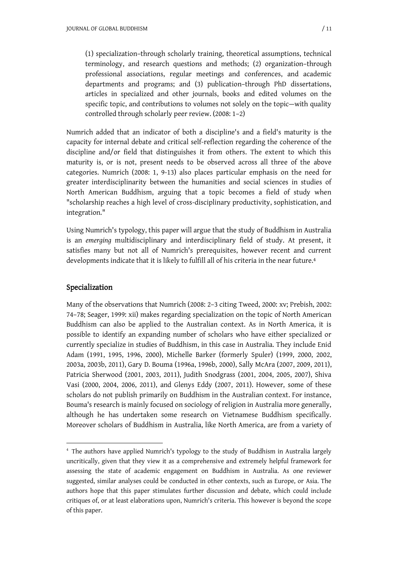(1) specialization–through scholarly training, theoretical assumptions, technical terminology, and research questions and methods; (2) organization–through professional associations, regular meetings and conferences, and academic departments and programs; and (3) publication–through PhD dissertations, articles in specialized and other journals, books and edited volumes on the specific topic, and contributions to volumes not solely on the topic—with quality controlled through scholarly peer review. (2008: 1–2)

Numrich added that an indicator of both a discipline's and a field's maturity is the capacity for internal debate and critical self-reflection regarding the coherence of the discipline and/or field that distinguishes it from others. The extent to which this maturity is, or is not, present needs to be observed across all three of the above categories. Numrich (2008: 1, 9-13) also places particular emphasis on the need for greater interdisciplinarity between the humanities and social sciences in studies of North American Buddhism, arguing that a topic becomes a field of study when "scholarship reaches a high level of cross-disciplinary productivity, sophistication, and integration."

Using Numrich's typology, this paper will argue that the study of Buddhism in Australia is an *emerging* multidisciplinary and interdisciplinary field of study. At present, it satisfies many but not all of Numrich's prerequisites, however recent and current developments indicate that it is likely to fulfill all of his criteria in the near future.<sup>4</sup>

# Specialization

-

Many of the observations that Numrich (2008: 2–3 citing Tweed, 2000: xv; Prebish, 2002: 74–78; Seager, 1999: xii) makes regarding specialization on the topic of North American Buddhism can also be applied to the Australian context. As in North America, it is possible to identify an expanding number of scholars who have either specialized or currently specialize in studies of Buddhism, in this case in Australia. They include Enid Adam (1991, 1995, 1996, 2000), Michelle Barker (formerly Spuler) (1999, 2000, 2002, 2003a, 2003b, 2011), Gary D. Bouma (1996a, 1996b, 2000), Sally McAra (2007, 2009, 2011), Patricia Sherwood (2001, 2003, 2011), Judith Snodgrass (2001, 2004, 2005, 2007), Shiva Vasi (2000, 2004, 2006, 2011), and Glenys Eddy (2007, 2011). However, some of these scholars do not publish primarily on Buddhism in the Australian context. For instance, Bouma's research is mainly focused on sociology of religion in Australia more generally, although he has undertaken some research on Vietnamese Buddhism specifically. Moreover scholars of Buddhism in Australia, like North America, are from a variety of

<sup>4</sup> The authors have applied Numrich's typology to the study of Buddhism in Australia largely uncritically, given that they view it as a comprehensive and extremely helpful framework for assessing the state of academic engagement on Buddhism in Australia. As one reviewer suggested, similar analyses could be conducted in other contexts, such as Europe, or Asia. The authors hope that this paper stimulates further discussion and debate, which could include critiques of, or at least elaborations upon, Numrich's criteria. This however is beyond the scope of this paper.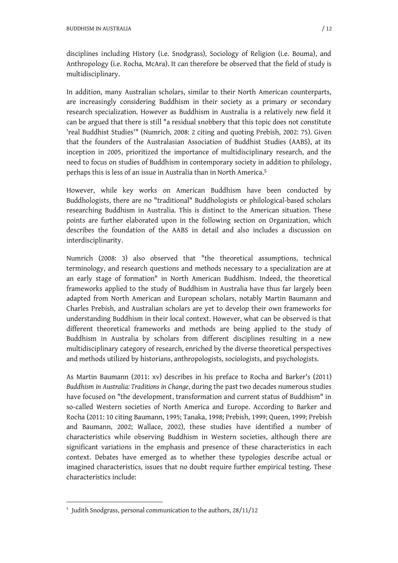disciplines including History (i.e. Snodgrass), Sociology of Religion (i.e. Bouma), and Anthropology (i.e. Rocha, McAra). It can therefore be observed that the field of study is multidisciplinary.

In addition, many Australian scholars, similar to their North American counterparts, are increasingly considering Buddhism in their society as a primary or secondary research specialization. However as Buddhism in Australia is a relatively new field it can be argued that there is still "a residual snobbery that this topic does not constitute 'real Buddhist Studies'" (Numrich, 2008: 2 citing and quoting Prebish, 2002: 75). Given that the founders of the Australasian Association of Buddhist Studies (AABS), at its inception in 2005, prioritized the importance of multidisciplinary research, and the need to focus on studies of Buddhism in contemporary society in addition to philology, perhaps this is less of an issue in Australia than in North America.<sup>5</sup>

However, while key works on American Buddhism have been conducted by Buddhologists, there are no "traditional" Buddhologists or philological-based scholars researching Buddhism in Australia. This is distinct to the American situation. These points are further elaborated upon in the following section on Organization, which describes the foundation of the AABS in detail and also includes a discussion on interdisciplinarity.

Numrich (2008: 3) also observed that "the theoretical assumptions, technical terminology, and research questions and methods necessary to a specialization are at an early stage of formation" in North American Buddhism. Indeed, the theoretical frameworks applied to the study of Buddhism in Australia have thus far largely been adapted from North American and European scholars, notably Martin Baumann and Charles Prebish, and Australian scholars are yet to develop their own frameworks for understanding Buddhism in their local context. However, what can be observed is that different theoretical frameworks and methods are being applied to the study of Buddhism in Australia by scholars from different disciplines resulting in a new multidisciplinary category of research, enriched by the diverse theoretical perspectives and methods utilized by historians, anthropologists, sociologists, and psychologists.

As Martin Baumann (2011: xv) describes in his preface to Rocha and Barker's (2011) *Buddhism in Australia: Traditions in Change*, during the past two decades numerous studies have focused on "the development, transformation and current status of Buddhism" in so-called Western societies of North America and Europe. According to Barker and Rocha (2011: 10 citing Baumann, 1995; Tanaka, 1998; Prebish, 1999; Queen, 1999; Prebish and Baumann, 2002; Wallace, 2002), these studies have identified a number of characteristics while observing Buddhism in Western societies, although there are significant variations in the emphasis and presence of these characteristics in each context. Debates have emerged as to whether these typologies describe actual or imagined characteristics, issues that no doubt require further empirical testing. These characteristics include:

-

<sup>5</sup> Judith Snodgrass, personal communication to the authors, 28/11/12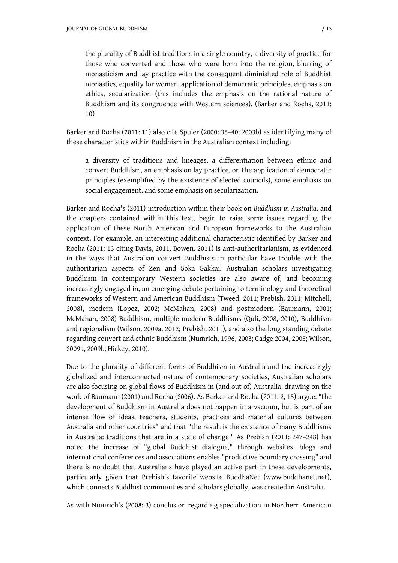the plurality of Buddhist traditions in a single country, a diversity of practice for those who converted and those who were born into the religion, blurring of monasticism and lay practice with the consequent diminished role of Buddhist monastics, equality for women, application of democratic principles, emphasis on ethics, secularization (this includes the emphasis on the rational nature of Buddhism and its congruence with Western sciences). (Barker and Rocha, 2011: 10)

Barker and Rocha (2011: 11) also cite Spuler (2000: 38–40; 2003b) as identifying many of these characteristics within Buddhism in the Australian context including:

a diversity of traditions and lineages, a differentiation between ethnic and convert Buddhism, an emphasis on lay practice, on the application of democratic principles (exemplified by the existence of elected councils), some emphasis on social engagement, and some emphasis on secularization.

Barker and Rocha's (2011) introduction within their book on *Buddhism in Australia*, and the chapters contained within this text, begin to raise some issues regarding the application of these North American and European frameworks to the Australian context. For example, an interesting additional characteristic identified by Barker and Rocha (2011: 13 citing Davis, 2011, Bowen, 2011) is anti-authoritarianism, as evidenced in the ways that Australian convert Buddhists in particular have trouble with the authoritarian aspects of Zen and Soka Gakkai. Australian scholars investigating Buddhism in contemporary Western societies are also aware of, and becoming increasingly engaged in, an emerging debate pertaining to terminology and theoretical frameworks of Western and American Buddhism (Tweed, 2011; Prebish, 2011; Mitchell, 2008), modern (Lopez, 2002; McMahan, 2008) and postmodern (Baumann, 2001; McMahan, 2008) Buddhism, multiple modern Buddhisms (Quli, 2008, 2010), Buddhism and regionalism (Wilson, 2009a, 2012; Prebish, 2011), and also the long standing debate regarding convert and ethnic Buddhism (Numrich, 1996, 2003; Cadge 2004, 2005; Wilson, 2009a, 2009b; Hickey, 2010).

Due to the plurality of different forms of Buddhism in Australia and the increasingly globalized and interconnected nature of contemporary societies, Australian scholars are also focusing on global flows of Buddhism in (and out of) Australia, drawing on the work of Baumann (2001) and Rocha (2006). As Barker and Rocha (2011: 2, 15) argue: "the development of Buddhism in Australia does not happen in a vacuum, but is part of an intense flow of ideas, teachers, students, practices and material cultures between Australia and other countries" and that "the result is the existence of many Buddhisms in Australia: traditions that are in a state of change." As Prebish (2011: 247–248) has noted the increase of "global Buddhist dialogue," through websites, blogs and international conferences and associations enables "productive boundary crossing" and there is no doubt that Australians have played an active part in these developments, particularly given that Prebish's favorite website BuddhaNet ([www.buddhanet.net\)](http://www.buddhanet.net/), which connects Buddhist communities and scholars globally, was created in Australia.

As with Numrich's (2008: 3) conclusion regarding specialization in Northern American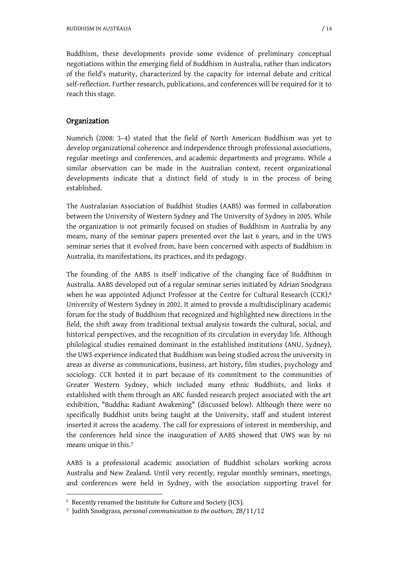Buddhism, these developments provide some evidence of preliminary conceptual negotiations within the emerging field of Buddhism in Australia, rather than indicators of the field's maturity, characterized by the capacity for internal debate and critical self-reflection. Further research, publications, and conferences will be required for it to reach this stage.

### Organization

Numrich (2008: 3–4) stated that the field of North American Buddhism was yet to develop organizational coherence and independence through professional associations, regular meetings and conferences, and academic departments and programs. While a similar observation can be made in the Australian context, recent organizational developments indicate that a distinct field of study is in the process of being established.

The Australasian Association of Buddhist Studies (AABS) was formed in collaboration between the University of Western Sydney and The University of Sydney in 2005. While the organization is not primarily focused on studies of Buddhism in Australia by any means, many of the seminar papers presented over the last 6 years, and in the UWS seminar series that it evolved from, have been concerned with aspects of Buddhism in Australia, its manifestations, its practices, and its pedagogy.

The founding of the AABS is itself indicative of the changing face of Buddhism in Australia. AABS developed out of a regular seminar series initiated by Adrian Snodgrass when he was appointed Adjunct Professor at the Centre for Cultural Research (CCR),<sup>6</sup> University of Western Sydney in 2002. It aimed to provide a multidisciplinary academic forum for the study of Buddhism that recognized and highlighted new directions in the field, the shift away from traditional textual analysis towards the cultural, social, and historical perspectives, and the recognition of its circulation in everyday life. Although philological studies remained dominant in the established institutions (ANU, Sydney), the UWS experience indicated that Buddhism was being studied across the university in areas as diverse as communications, business, art history, film studies, psychology and sociology. CCR hosted it in part because of its commitment to the communities of Greater Western Sydney, which included many ethnic Buddhists, and links it established with them through an ARC funded research project associated with the art exhibition, "Buddha: Radiant Awakening" (discussed below). Although there were no specifically Buddhist units being taught at the University, staff and student interest inserted it across the academy. The call for expressions of interest in membership, and the conferences held since the inauguration of AABS showed that UWS was by no means unique in this.<sup>7</sup>

AABS is a professional academic association of Buddhist scholars working across Australia and New Zealand. Until very recently, regular monthly seminars, meetings, and conferences were held in Sydney, with the association supporting travel for

1

<sup>6</sup> Recently renamed the Institute for Culture and Society (ICS).

<sup>7</sup> Judith Snodgrass, *personal communication to the authors*ǡ28/11/12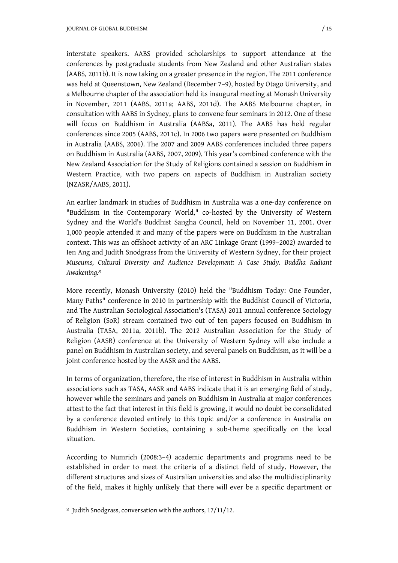interstate speakers. AABS provided scholarships to support attendance at the conferences by postgraduate students from New Zealand and other Australian states (AABS, 2011b). It is now taking on a greater presence in the region. The 2011 conference was held at Queenstown, New Zealand (December 7–9), hosted by Otago University, and a Melbourne chapter of the association held its inaugural meeting at Monash University in November, 2011 (AABS, 2011a; AABS, 2011d). The AABS Melbourne chapter, in consultation with AABS in Sydney, plans to convene four seminars in 2012. One of these will focus on Buddhism in Australia (AABSa, 2011). The AABS has held regular conferences since 2005 (AABS, 2011c). In 2006 two papers were presented on Buddhism in Australia (AABS, 2006). The 2007 and 2009 AABS conferences included three papers on Buddhism in Australia (AABS, 2007, 2009). This year's combined conference with the New Zealand Association for the Study of Religions contained a session on Buddhism in Western Practice, with two papers on aspects of Buddhism in Australian society (NZASR/AABS, 2011).

An earlier landmark in studies of Buddhism in Australia was a one-day conference on "Buddhism in the Contemporary World," co-hosted by the University of Western Sydney and the World's Buddhist Sangha Council, held on November 11, 2001. Over 1,000 people attended it and many of the papers were on Buddhism in the Australian context. This was an offshoot activity of an ARC Linkage Grant (1999–2002) awarded to Ien Ang and Judith Snodgrass from the University of Western Sydney, for their project *Museums, Cultural Diversity and Audience Development: A Case Study. Buddha Radiant Awakening.<sup>8</sup>*

More recently, Monash University (2010) held the "Buddhism Today: One Founder, Many Paths" conference in 2010 in partnership with the Buddhist Council of Victoria, and The Australian Sociological Association's (TASA) 2011 annual conference Sociology of Religion (SoR) stream contained two out of ten papers focused on Buddhism in Australia (TASA, 2011a, 2011b). The 2012 Australian Association for the Study of Religion (AASR) conference at the University of Western Sydney will also include a panel on Buddhism in Australian society, and several panels on Buddhism, as it will be a joint conference hosted by the AASR and the AABS.

In terms of organization, therefore, the rise of interest in Buddhism in Australia within associations such as TASA, AASR and AABS indicate that it is an emerging field of study, however while the seminars and panels on Buddhism in Australia at major conferences attest to the fact that interest in this field is growing, it would no doubt be consolidated by a conference devoted entirely to this topic and/or a conference in Australia on Buddhism in Western Societies, containing a sub-theme specifically on the local situation.

According to Numrich (2008:3–4) academic departments and programs need to be established in order to meet the criteria of a distinct field of study. However, the different structures and sizes of Australian universities and also the multidisciplinarity of the field, makes it highly unlikely that there will ever be a specific department or

-

<sup>8</sup> Judith Snodgrass, conversation with the authors, 17/11/12.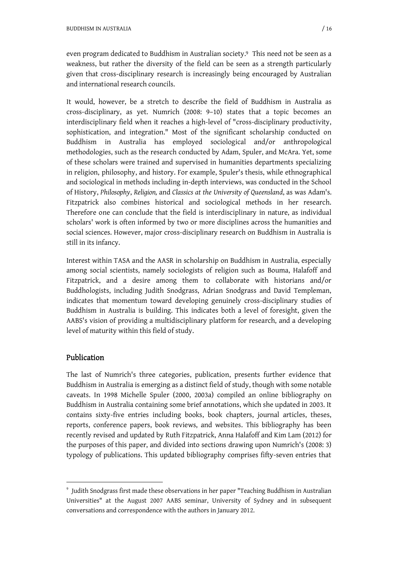even program dedicated to Buddhism in Australian society.9 This need not be seen as a weakness, but rather the diversity of the field can be seen as a strength particularly given that cross-disciplinary research is increasingly being encouraged by Australian and international research councils.

It would, however, be a stretch to describe the field of Buddhism in Australia as cross-disciplinary, as yet. Numrich (2008: 9–10) states that a topic becomes an interdisciplinary field when it reaches a high-level of "cross-disciplinary productivity, sophistication, and integration." Most of the significant scholarship conducted on Buddhism in Australia has employed sociological and/or anthropological methodologies, such as the research conducted by Adam, Spuler, and McAra. Yet, some of these scholars were trained and supervised in humanities departments specializing in religion, philosophy, and history. For example, Spuler's thesis, while ethnographical and sociological in methods including in-depth interviews, was conducted in the School of History, *Philosophy*, *Religion,* and *Classics at the University of Queensland*, as was Adam's. Fitzpatrick also combines historical and sociological methods in her research. Therefore one can conclude that the field is interdisciplinary in nature, as individual scholars' work is often informed by two or more disciplines across the humanities and social sciences. However, major cross-disciplinary research on Buddhism in Australia is still in its infancy.

Interest within TASA and the AASR in scholarship on Buddhism in Australia, especially among social scientists, namely sociologists of religion such as Bouma, Halafoff and Fitzpatrick, and a desire among them to collaborate with historians and/or Buddhologists, including Judith Snodgrass, Adrian Snodgrass and David Templeman, indicates that momentum toward developing genuinely cross-disciplinary studies of Buddhism in Australia is building. This indicates both a level of foresight, given the AABS's vision of providing a multidisciplinary platform for research, and a developing level of maturity within this field of study.

# Publication

-

The last of Numrich's three categories, publication, presents further evidence that Buddhism in Australia is emerging as a distinct field of study, though with some notable caveats. In 1998 Michelle Spuler (2000, 2003a) compiled an online bibliography on Buddhism in Australia containing some brief annotations, which she updated in 2003. It contains sixty-five entries including books, book chapters, journal articles, theses, reports, conference papers, book reviews, and websites. This bibliography has been recently revised and updated by Ruth Fitzpatrick, Anna Halafoff and Kim Lam (2012) for the purposes of this paper, and divided into sections drawing upon Numrich's (2008: 3) typology of publications. This updated bibliography comprises fifty-seven entries that

<sup>9</sup> Judith Snodgrass first made these observations in her paper "Teaching Buddhism in Australian Universities" at the August 2007 AABS seminar, University of Sydney and in subsequent conversations and correspondence with the authors in January 2012.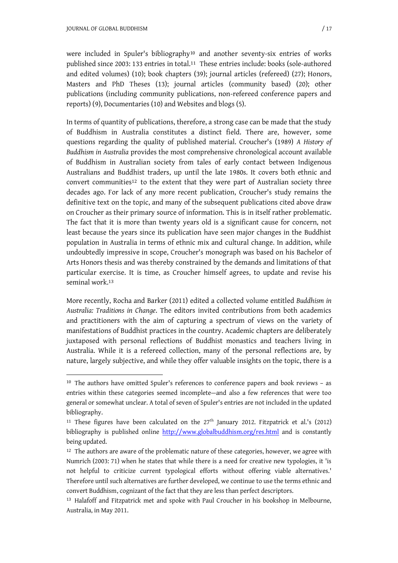1

were included in Spuler's bibliography10 and another seventy-six entries of works published since 2003: 133 entries in total.11 These entries include: books (sole-authored and edited volumes) (10); book chapters (39); journal articles (refereed) (27); Honors, Masters and PhD Theses (13); journal articles (community based) (20); other publications (including community publications, non-refereed conference papers and reports) (9), Documentaries (10) and Websites and blogs (5).

In terms of quantity of publications, therefore, a strong case can be made that the study of Buddhism in Australia constitutes a distinct field. There are, however, some questions regarding the quality of published material. Croucher's (1989) *A History of Buddhism in Australia* provides the most comprehensive chronological account available of Buddhism in Australian society from tales of early contact between Indigenous Australians and Buddhist traders, up until the late 1980s. It covers both ethnic and convert communities12 to the extent that they were part of Australian society three decades ago. For lack of any more recent publication, Croucher's study remains the definitive text on the topic, and many of the subsequent publications cited above draw on Croucher as their primary source of information. This is in itself rather problematic. The fact that it is more than twenty years old is a significant cause for concern, not least because the years since its publication have seen major changes in the Buddhist population in Australia in terms of ethnic mix and cultural change. In addition, while undoubtedly impressive in scope, Croucher's monograph was based on his Bachelor of Arts Honors thesis and was thereby constrained by the demands and limitations of that particular exercise. It is time, as Croucher himself agrees, to update and revise his seminal work.<sup>13</sup>

More recently, Rocha and Barker (2011) edited a collected volume entitled *Buddhism in Australia: Traditions in Change*. The editors invited contributions from both academics and practitioners with the aim of capturing a spectrum of views on the variety of manifestations of Buddhist practices in the country. Academic chapters are deliberately juxtaposed with personal reflections of Buddhist monastics and teachers living in Australia. While it is a refereed collection, many of the personal reflections are, by nature, largely subjective, and while they offer valuable insights on the topic, there is a

<sup>10</sup> The authors have omitted Spuler's references to conference papers and book reviews – as entries within these categories seemed incomplete—and also a few references that were too general or somewhat unclear. A total of seven of Spuler's entries are not included in the updated bibliography.

<sup>&</sup>lt;sup>11</sup> These figures have been calculated on the  $27<sup>th</sup>$  January 2012. Fitzpatrick et al.'s (2012) bibliography is published online <http://www.globalbuddhism.org/res.html> and is constantly being updated.

<sup>&</sup>lt;sup>12</sup> The authors are aware of the problematic nature of these categories, however, we agree with Numrich (2003: 71) when he states that while there is a need for creative new typologies, it 'is not helpful to criticize current typological efforts without offering viable alternatives.' Therefore until such alternatives are further developed, we continue to use the terms ethnic and convert Buddhism, cognizant of the fact that they are less than perfect descriptors.

<sup>13</sup> Halafoff and Fitzpatrick met and spoke with Paul Croucher in his bookshop in Melbourne, Australia, in May 2011.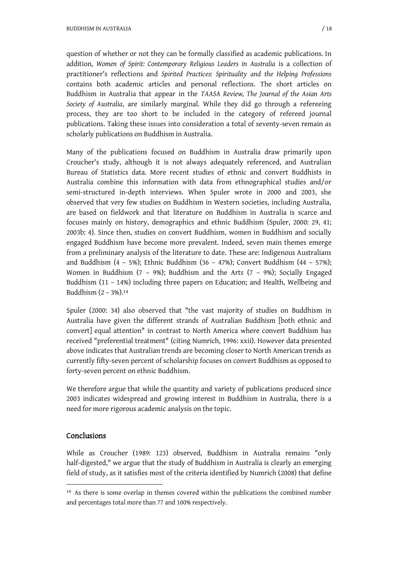BUDDHISM IN AUSTRALIA / 18

question of whether or not they can be formally classified as academic publications. In addition, *Women of Spirit: Contemporary Religious Leaders in Australia* is a collection of practitioner's reflections and *Spirited Practices: Spirituality and the Helping Professions*  contains both academic articles and personal reflections. The short articles on Buddhism in Australia that appear in the *TAASA Review, The Journal of the Asian Arts Society of Australia*, are similarly marginal. While they did go through a refereeing process, they are too short to be included in the category of refereed journal publications. Taking these issues into consideration a total of seventy-seven remain as scholarly publications on Buddhism in Australia.

Many of the publications focused on Buddhism in Australia draw primarily upon Croucher's study, although it is not always adequately referenced, and Australian Bureau of Statistics data. More recent studies of ethnic and convert Buddhists in Australia combine this information with data from ethnographical studies and/or semi-structured in-depth interviews. When Spuler wrote in 2000 and 2003, she observed that very few studies on Buddhism in Western societies, including Australia, are based on fieldwork and that literature on Buddhism in Australia is scarce and focuses mainly on history, demographics and ethnic Buddhism (Spuler, 2000: 29, 41; 2003b: 4). Since then, studies on convert Buddhism, women in Buddhism and socially engaged Buddhism have become more prevalent. Indeed, seven main themes emerge from a preliminary analysis of the literature to date. These are: Indigenous Australians and Buddhism (4 – 5%); Ethnic Buddhism (36 – 47%); Convert Buddhism (44 – 57%); Women in Buddhism (7 – 9%); Buddhism and the Arts (7 – 9%); Socially Engaged Buddhism (11 – 14%) including three papers on Education; and Health, Wellbeing and Buddhism (2 – 3%).<sup>14</sup>

Spuler (2000: 34) also observed that "the vast majority of studies on Buddhism in Australia have given the different strands of Australian Buddhism [both ethnic and convert] equal attention" in contrast to North America where convert Buddhism has received "preferential treatment" (citing Numrich, 1996: xxii). However data presented above indicates that Australian trends are becoming closer to North American trends as currently fifty-seven percent of scholarship focuses on convert Buddhism as opposed to forty-seven percent on ethnic Buddhism.

We therefore argue that while the quantity and variety of publications produced since 2003 indicates widespread and growing interest in Buddhism in Australia, there is a need for more rigorous academic analysis on the topic.

# Conclusions

1

While as Croucher (1989: 123) observed, Buddhism in Australia remains "only half-digested," we argue that the study of Buddhism in Australia is clearly an emerging field of study, as it satisfies most of the criteria identified by Numrich (2008) that define

<sup>&</sup>lt;sup>14</sup> As there is some overlap in themes covered within the publications the combined number and percentages total more than 77 and 100% respectively.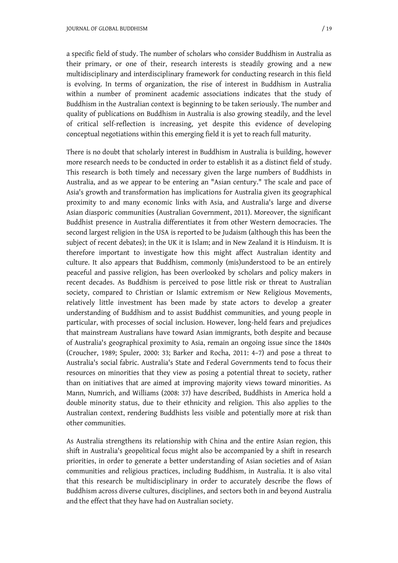a specific field of study. The number of scholars who consider Buddhism in Australia as their primary, or one of their, research interests is steadily growing and a new multidisciplinary and interdisciplinary framework for conducting research in this field is evolving. In terms of organization, the rise of interest in Buddhism in Australia within a number of prominent academic associations indicates that the study of Buddhism in the Australian context is beginning to be taken seriously. The number and quality of publications on Buddhism in Australia is also growing steadily, and the level of critical self-reflection is increasing, yet despite this evidence of developing conceptual negotiations within this emerging field it is yet to reach full maturity.

There is no doubt that scholarly interest in Buddhism in Australia is building, however more research needs to be conducted in order to establish it as a distinct field of study. This research is both timely and necessary given the large numbers of Buddhists in Australia, and as we appear to be entering an "Asian century." The scale and pace of Asia's growth and transformation has implications for Australia given its geographical proximity to and many economic links with Asia, and Australia's large and diverse Asian diasporic communities (Australian Government, 2011). Moreover, the significant Buddhist presence in Australia differentiates it from other Western democracies. The second largest religion in the USA is reported to be Judaism (although this has been the subject of recent debates); in the UK it is Islam; and in New Zealand it is Hinduism. It is therefore important to investigate how this might affect Australian identity and culture. It also appears that Buddhism, commonly (mis)understood to be an entirely peaceful and passive religion, has been overlooked by scholars and policy makers in recent decades. As Buddhism is perceived to pose little risk or threat to Australian society, compared to Christian or Islamic extremism or New Religious Movements, relatively little investment has been made by state actors to develop a greater understanding of Buddhism and to assist Buddhist communities, and young people in particular, with processes of social inclusion. However, long-held fears and prejudices that mainstream Australians have toward Asian immigrants, both despite and because of Australia's geographical proximity to Asia, remain an ongoing issue since the 1840s (Croucher, 1989; Spuler, 2000: 33; Barker and Rocha, 2011: 4–7) and pose a threat to Australia's social fabric. Australia's State and Federal Governments tend to focus their resources on minorities that they view as posing a potential threat to society, rather than on initiatives that are aimed at improving majority views toward minorities. As Mann, Numrich, and Williams (2008: 37) have described, Buddhists in America hold a double minority status, due to their ethnicity and religion. This also applies to the Australian context, rendering Buddhists less visible and potentially more at risk than other communities.

As Australia strengthens its relationship with China and the entire Asian region, this shift in Australia's geopolitical focus might also be accompanied by a shift in research priorities, in order to generate a better understanding of Asian societies and of Asian communities and religious practices, including Buddhism, in Australia. It is also vital that this research be multidisciplinary in order to accurately describe the flows of Buddhism across diverse cultures, disciplines, and sectors both in and beyond Australia and the effect that they have had on Australian society.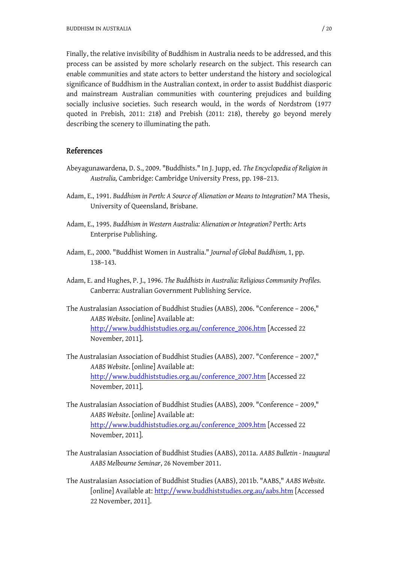Finally, the relative invisibility of Buddhism in Australia needs to be addressed, and this process can be assisted by more scholarly research on the subject. This research can enable communities and state actors to better understand the history and sociological significance of Buddhism in the Australian context, in order to assist Buddhist diasporic and mainstream Australian communities with countering prejudices and building socially inclusive societies. Such research would, in the words of Nordstrom (1977 quoted in Prebish, 2011: 218) and Prebish (2011: 218), thereby go beyond merely describing the scenery to illuminating the path.

#### References

- Abeyagunawardena, D. S., 2009. "Buddhists." In J. Jupp, ed. *The Encyclopedia of Religion in Australia,* Cambridge: Cambridge University Press, pp. 198–213.
- Adam, E., 1991. *Buddhism in Perth: A Source of Alienation or Means to Integration?* MA Thesis, University of Queensland, Brisbane.
- Adam, E., 1995. *Buddhism in Western Australia: Alienation or Integration?* Perth: Arts Enterprise Publishing.
- Adam, E., 2000. "Buddhist Women in Australia." *Journal of Global Buddhism,* 1, pp. 138–143.
- Adam, E. and Hughes, P. J., 1996. *The Buddhists in Australia: Religious Community Profiles.* Canberra: Australian Government Publishing Service.
- The Australasian Association of Buddhist Studies (AABS), 2006. "Conference 2006," *AABS Website*. [online] Available at: [http://www.buddhiststudies.org.au/conference\\_2006.htm](http://www.buddhiststudies.org.au/conference_2006.htm) [Accessed 22 November, 2011].
- The Australasian Association of Buddhist Studies (AABS), 2007. "Conference 2007," *AABS Website*. [online] Available at: [http://www.buddhiststudies.org.au/conference\\_2007.htm](http://www.buddhiststudies.org.au/conference_2007.htm) [Accessed 22 November, 2011].
- The Australasian Association of Buddhist Studies (AABS), 2009. "Conference 2009," *AABS Website*. [online] Available at: [http://www.buddhiststudies.org.au/conference\\_2009.htm](http://www.buddhiststudies.org.au/conference_2009.htm) [Accessed 22 November, 2011].
- The Australasian Association of Buddhist Studies (AABS), 2011a. *AABS Bulletin Inaugural AABS Melbourne Seminar*, 26 November 2011.
- The Australasian Association of Buddhist Studies (AABS), 2011b. "AABS," *AABS Website.*  [online] Available at: <http://www.buddhiststudies.org.au/aabs.htm>[Accessed 22 November, 2011].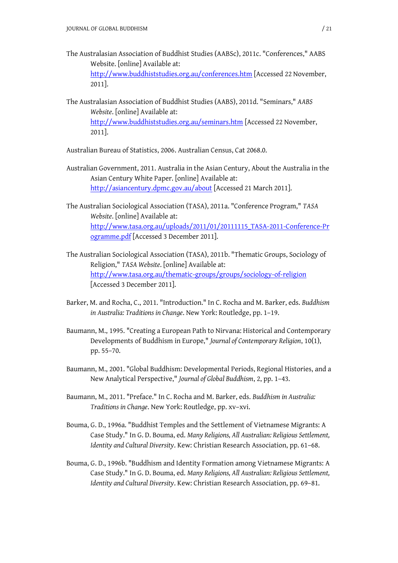The Australasian Association of Buddhist Studies (AABSc), 2011c. "Conferences," AABS Website. [online] Available at:

<http://www.buddhiststudies.org.au/conferences.htm>[Accessed 22 November, 2011].

The Australasian Association of Buddhist Studies (AABS), 2011d. "Seminars," *AABS Website*. [online] Available at: <http://www.buddhiststudies.org.au/seminars.htm>[Accessed 22 November, 2011].

Australian Bureau of Statistics, 2006. Australian Census, Cat 2068.0.

- Australian Government, 2011. Australia in the Asian Century, About the Australia in the Asian Century White Paper. [online] Available at: <http://asiancentury.dpmc.gov.au/about>[Accessed 21 March 2011].
- The Australian Sociological Association (TASA), 2011a. "Conference Program," *TASA Website*. [online] Available at: [http://www.tasa.org.au/uploads/2011/01/20111115\\_TASA-2011-Conference-Pr](http://www.tasa.org.au/uploads/2011/01/20111115_TASA-2011-Conference-Pr) ogramme.pdf [Accessed 3 December 2011].
- The Australian Sociological Association (TASA), 2011b. "Thematic Groups, Sociology of Religion," *TASA Website*. [online] Available at: <http://www.tasa.org.au/thematic-groups/groups/sociology-of-religion> [Accessed 3 December 2011].
- Barker, M. and Rocha, C., 2011. "Introduction." In C. Rocha and M. Barker, eds. *Buddhism in Australia: Traditions in Change*. New York: Routledge, pp. 1–19.
- Baumann, M., 1995. "Creating a European Path to Nirvana: Historical and Contemporary Developments of Buddhism in Europe," *Journal of Contemporary Religion*, 10(1), pp. 55–70.
- Baumann, M., 2001. "Global Buddhism: Developmental Periods, Regional Histories, and a New Analytical Perspective," *Journal of Global Buddhism*, 2, pp. 1–43.
- Baumann, M., 2011. "Preface." In C. Rocha and M. Barker, eds. *Buddhism in Australia: Traditions in Change*. New York: Routledge, pp. xv–xvi.
- Bouma, G. D., 1996a. "Buddhist Temples and the Settlement of Vietnamese Migrants: A Case Study." In G. D. Bouma, ed. *Many Religions, All Australian: Religious Settlement, Identity and Cultural Diversity*. Kew: Christian Research Association, pp. 61–68.
- Bouma, G. D., 1996b. "Buddhism and Identity Formation among Vietnamese Migrants: A Case Study." In G. D. Bouma, ed. *Many Religions, All Australian: Religious Settlement, Identity and Cultural Diversity*. Kew: Christian Research Association, pp. 69–81.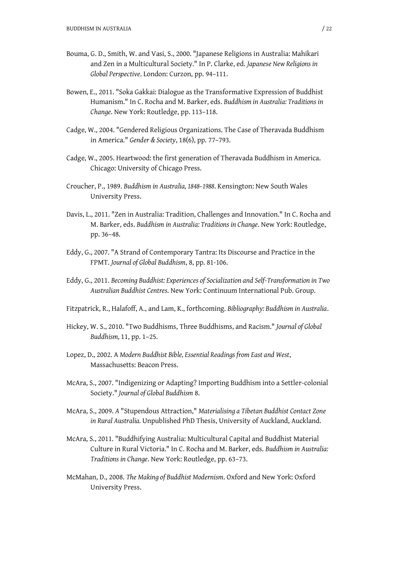- Bouma, G. D., Smith, W. and Vasi, S., 2000. "Japanese Religions in Australia: Mahikari and Zen in a Multicultural Society." In P. Clarke, ed. *Japanese New Religions in Global Perspective*. London: Curzon, pp. 94–111.
- Bowen, E., 2011. "Soka Gakkai: Dialogue as the Transformative Expression of Buddhist Humanism." In C. Rocha and M. Barker, eds. *Buddhism in Australia: Traditions in Change*. New York: Routledge, pp. 113–118.
- Cadge, W., 2004. "Gendered Religious Organizations. The Case of Theravada Buddhism in America." *Gender & Society*, 18(6), pp. 77–793.
- Cadge, W., 2005. Heartwood: the first generation of Theravada Buddhism in America. Chicago: University of Chicago Press.
- Croucher, P., 1989. *Buddhism in Australia, 1848–1988*. Kensington: New South Wales University Press.
- Davis, L., 2011. "Zen in Australia: Tradition, Challenges and Innovation." In C. Rocha and M. Barker, eds. *Buddhism in Australia: Traditions in Change*. New York: Routledge, pp. 36–48.
- Eddy, G., 2007. "A Strand of Contemporary Tantra: Its Discourse and Practice in the FPMT. *Journal of Global Buddhism*, 8, pp. 81-106.
- Eddy, G., 2011. *Becoming Buddhist: Experiences of Socialization and Self-Transformation in Two Australian Buddhist Centres*. New York: Continuum International Pub. Group.
- Fitzpatrick, R., Halafoff, A., and Lam, K., forthcoming. *Bibliography: Buddhism in Australia*.
- Hickey, W. S., 2010. "Two Buddhisms, Three Buddhisms, and Racism." *Journal of Global Buddhism,* 11, pp. 1–25.
- Lopez, D., 2002. A *Modern Buddhist Bible, Essential Readings from East and West*, Massachusetts: Beacon Press.
- McAra, S., 2007. "Indigenizing or Adapting? Importing Buddhism into a Settler-colonial Society." *Journal of Global Buddhism* 8.
- McAra, S., 2009. *A* "Stupendous Attraction," *Materialising a Tibetan Buddhist Contact Zone in Rural Australia.* Unpublished PhD Thesis, University of Auckland, Auckland.
- McAra, S., 2011. "Buddhifying Australia: Multicultural Capital and Buddhist Material Culture in Rural Victoria." In C. Rocha and M. Barker, eds. *Buddhism in Australia: Traditions in Change*. New York: Routledge, pp. 63–73.
- McMahan, D., 2008. *The Making of Buddhist Modernism*. Oxford and New York: Oxford University Press.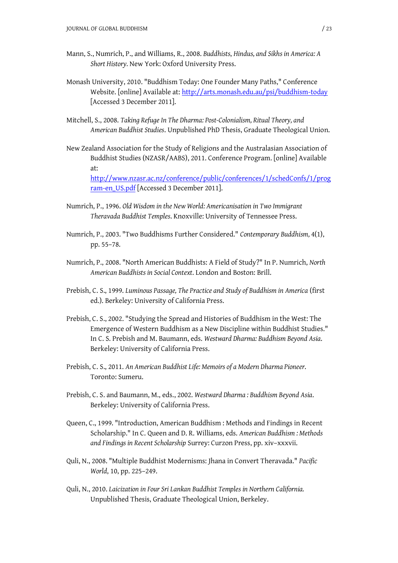- Mann, S., Numrich, P., and Williams, R., 2008. *Buddhists*, *Hindus, and Sikhs in America: A Short History.* New York: Oxford University Press.
- Monash University, 2010. "Buddhism Today: One Founder Many Paths," Conference Website. [online] Available at: <http://arts.monash.edu.au/psi/buddhism-today> [Accessed 3 December 2011].
- Mitchell, S., 2008. *Taking Refuge In The Dharma: Post-Colonialism, Ritual Theory, and American Buddhist Studies*. Unpublished PhD Thesis, Graduate Theological Union.
- New Zealand Association for the Study of Religions and the Australasian Association of Buddhist Studies (NZASR/AABS), 2011. Conference Program. [online] Available at: <http://www.nzasr.ac.nz/conference/public/conferences/1/schedConfs/1/prog> ram-en\_US.pdf [Accessed 3 December 2011].
- Numrich, P., 1996. *Old Wisdom in the New World: Americanisation in Two Immigrant Theravada Buddhist Temples*. Knoxville: University of Tennessee Press.
- Numrich, P., 2003. "Two Buddhisms Further Considered." *Contemporary Buddhism,* 4(1), pp. 55–78.
- Numrich, P., 2008. "North American Buddhists: A Field of Study?" In P. Numrich, *North American Buddhists in Social Context*. London and Boston: Brill.
- Prebish, C. S., 1999. *Luminous Passage, The Practice and Study of Buddhism in America* (first ed.). Berkeley: University of California Press.
- Prebish, C. S., 2002. "Studying the Spread and Histories of Buddhism in the West: The Emergence of Western Buddhism as a New Discipline within Buddhist Studies." In C. S. Prebish and M. Baumann, eds. *Westward Dharma: Buddhism Beyond Asia*. Berkeley: University of California Press.
- Prebish, C. S., 2011. *An American Buddhist Life: Memoirs of a Modern Dharma Pioneer*. Toronto: Sumeru.
- Prebish, C. S. and Baumann, M., eds., 2002. *Westward Dharma : Buddhism Beyond Asia*. Berkeley: University of California Press.
- Queen, C., 1999. "Introduction, American Buddhism : Methods and Findings in Recent Scholarship." In C. Queen and D. R. Williams, eds. *American Buddhism : Methods and Findings in Recent Scholarship* Surrey: Curzon Press, pp. xiv–xxxvii.
- Quli, N., 2008. "Multiple Buddhist Modernisms: Jhana in Convert Theravada." *Pacific World*, 10, pp. 225–249.
- Quli, N., 2010. *Laicization in Four Sri Lankan Buddhist Temples in Northern California.* Unpublished Thesis, Graduate Theological Union, Berkeley.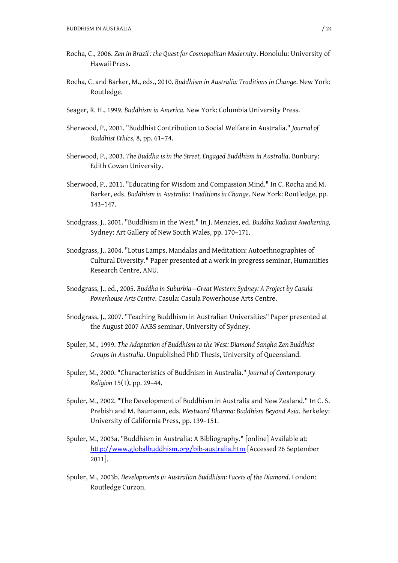- Rocha, C., 2006. *Zen in Brazil : the Quest for Cosmopolitan Modernity*. Honolulu: University of Hawaii Press.
- Rocha, C. and Barker, M., eds., 2010. *Buddhism in Australia: Traditions in Change*. New York: Routledge.
- Seager, R. H., 1999. *Buddhism in America.* New York: Columbia University Press.
- Sherwood, P., 2001. "Buddhist Contribution to Social Welfare in Australia." *Journal of Buddhist Ethics*, 8, pp. 61–74.
- Sherwood, P., 2003. *The Buddha is in the Street, Engaged Buddhism in Australia*. Bunbury: Edith Cowan University.
- Sherwood, P., 2011. "Educating for Wisdom and Compassion Mind." In C. Rocha and M. Barker, eds. *Buddhism in Australia: Traditions in Change*. New York: Routledge, pp. 143–147.
- Snodgrass, J., 2001. "Buddhism in the West." In J. Menzies, ed. *Buddha Radiant Awakening,* Sydney: Art Gallery of New South Wales, pp. 170–171.
- Snodgrass, J., 2004. "Lotus Lamps, Mandalas and Meditation: Autoethnographies of Cultural Diversity." Paper presented at a work in progress seminar, Humanities Research Centre, ANU.
- Snodgrass, J., ed., 2005. *Buddha in Suburbia—Great Western Sydney: A Project by Casula Powerhouse Arts Centre*. Casula: Casula Powerhouse Arts Centre.
- Snodgrass, J., 2007. "Teaching Buddhism in Australian Universities" Paper presented at the August 2007 AABS seminar, University of Sydney.
- Spuler, M., 1999. *The Adaptation of Buddhism to the West: Diamond Sangha Zen Buddhist Groups in Australia*. Unpublished PhD Thesis, University of Queensland.
- Spuler, M., 2000. "Characteristics of Buddhism in Australia." *Journal of Contemporary Religion* 15(1), pp. 29–44.
- Spuler, M., 2002. "The Development of Buddhism in Australia and New Zealand." In C. S. Prebish and M. Baumann, eds. *Westward Dharma: Buddhism Beyond Asia*. Berkeley: University of California Press, pp. 139–151.
- Spuler, M., 2003a. "Buddhism in Australia: A Bibliography." [online] Available at: <http://www.globalbuddhism.org/bib-australia.htm> [Accessed 26 September 2011].
- Spuler, M., 2003b. *Developments in Australian Buddhism: Facets of the Diamond*. London: Routledge Curzon.